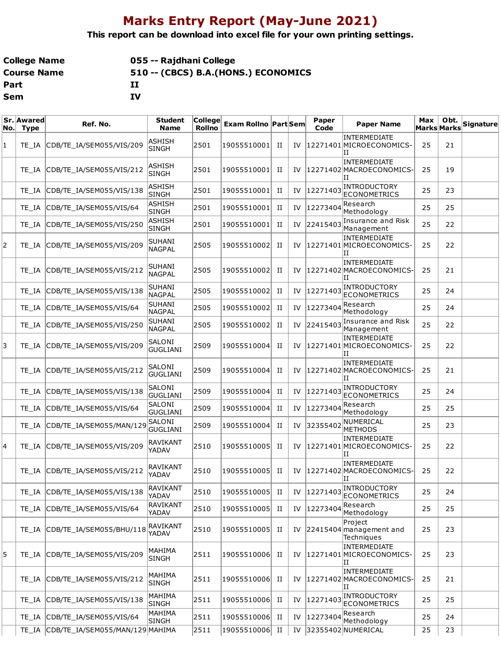## **Marks Entry Report (May-June 2021)**

**This report can be download into excel file for your own printing settings.**

| College Name | 055 -- Rajdhani College              |
|--------------|--------------------------------------|
| Course Name  | 510 -- (CBCS) B.A. (HONS.) ECONOMICS |
| Part         | п                                    |
| Sem          | IV                                   |

| No. | Sr. Awared<br><b>Type</b> | Ref. No.                              | <b>Student</b><br><b>Name</b>  | <b>College</b><br><b>Rollno</b> | <b>Exam Rollno Part Sem</b> |             |    | Paper<br>Code | <b>Paper Name</b>                                    | Max<br><b>Marks Marks</b> | Obt. | <b>Signature</b> |
|-----|---------------------------|---------------------------------------|--------------------------------|---------------------------------|-----------------------------|-------------|----|---------------|------------------------------------------------------|---------------------------|------|------------------|
| 1   | TE IA                     | CDB/TE_IA/SEM055/VIS/209              | ASHISH<br><b>SINGH</b>         | 2501                            | 19055510001                 | П           | IV |               | <b>INTERMEDIATE</b><br>12271401 MICROECONOMICS-<br>Π | 25                        | 21   |                  |
|     | TE IA                     | CDB/TE_IA/SEM055/VIS/212              | ASHISH<br><b>SINGH</b>         | 2501                            | 19055510001                 | П           | IV |               | <b>INTERMEDIATE</b><br>12271402 MACROECONOMICS-<br>и | 25                        | 19   |                  |
|     | TE IA                     | CDB/TE_IA/SEM055/VIS/138              | ASHISH<br><b>SINGH</b>         | 2501                            | 19055510001                 | П           | IV | 12271403      | <b>INTRODUCTORY</b><br><b>ECONOMETRICS</b>           | 25                        | 23   |                  |
|     | TE IA                     | CDB/TE_IA/SEM055/VIS/64               | <b>ASHISH</b><br><b>SINGH</b>  | 2501                            | 19055510001                 | П           | IV | 12273404      | Research<br>Methodology                              | 25                        | 25   |                  |
|     | TE IA                     | CDB/TE_IA/SEM055/VIS/250              | <b>ASHISH</b><br><b>SINGH</b>  | 2501                            | 19055510001                 | п           | IV | 22415403      | Insurance and Risk<br>Management                     | 25                        | 22   |                  |
| 2   | TE IA                     | CDB/TE_IA/SEM055/VIS/209              | SUHANI<br><b>NAGPAL</b>        | 2505                            | 19055510002                 | П           | IV |               | INTERMEDIATE<br>12271401 MICROECONOMICS-<br>IΙ       | 25                        | 22   |                  |
|     | TE IA                     | CDB/TE_IA/SEM055/VIS/212              | SUHANI<br><b>NAGPAL</b>        | 2505                            | 19055510002                 | П           | IV |               | INTERMEDIATE<br>12271402 MACROECONOMICS<br>и         | 25                        | 21   |                  |
|     | TE IA                     | CDB/TE_IA/SEM055/VIS/138              | <b>SUHANI</b><br><b>NAGPAL</b> | 2505                            | 19055510002                 | П           | IV | 12271403      | <b>INTRODUCTORY</b><br><b>ECONOMETRICS</b>           | 25                        | 24   |                  |
|     | TE IA                     | CDB/TE IA/SEM055/VIS/64               | <b>SUHANI</b><br><b>NAGPAL</b> | 2505                            | 19055510002                 | П           | IV | 12273404      | Research<br>Methodology                              | 25                        | 24   |                  |
|     | TE IA                     | CDB/TE_IA/SEM055/VIS/250              | <b>SUHANI</b><br><b>NAGPAL</b> | 2505                            | 19055510002                 | П           | IV | 22415403      | Insurance and Risk<br>Management                     | 25                        | 22   |                  |
| 3   | TE IA                     | CDB/TE_IA/SEM055/VIS/209              | SALONI<br><b>GUGLIANI</b>      | 2509                            | 19055510004                 | П           | IV |               | INTERMEDIATE<br>12271401 MICROECONOMICS-<br>IΙ       | 25                        | 22   |                  |
|     | TE IA                     | CDB/TE_IA/SEM055/VIS/212              | SALONI<br><b>GUGLIANI</b>      | 2509                            | 19055510004                 | П           | IV |               | INTERMEDIATE<br>12271402 MACROECONOMICS-<br>Π        | 25                        | 21   |                  |
|     | TE IA                     | CDB/TE_IA/SEM055/VIS/138              | SALONI<br><b>GUGLIANI</b>      | 2509                            | 19055510004                 | П           | IV | 12271403      | <b>INTRODUCTORY</b><br><b>ECONOMETRICS</b>           | 25                        | 24   |                  |
|     | TE IA                     | CDB/TE_IA/SEM055/VIS/64               | SALONI<br><b>GUGLIANI</b>      | 2509                            | 19055510004                 | П           | IV | 12273404      | Research<br>Methodology                              | 25                        | 25   |                  |
|     | TE IA                     | CDB/TE_IA/SEM055/MAN/129              | SALONI<br><b>GUGLIANI</b>      | 2509                            | 19055510004                 | П           | IV | 32355402      | NUMERICAL<br><b>METHODS</b>                          | 25                        | 23   |                  |
| 4   | TE IA                     | CDB/TE IA/SEM055/VIS/209              | RAVIKANT<br>YADAV              | 2510                            | 19055510005                 | П           | IV |               | INTERMEDIATE<br>12271401 MICROECONOMICS-<br>и        | 25                        | 22   |                  |
|     | TE IA                     | CDB/TE_IA/SEM055/VIS/212              | RAVIKANT<br>YADAV              | 2510                            | 19055510005                 | П           | IV |               | INTERMEDIATE<br>12271402 MACROECONOMICS-<br>IΗ       | 25                        | 22   |                  |
|     | TE_IA                     | CDB/TE_IA/SEM055/VIS/138              | <b>RAVIKANT</b><br>YADAV       | 2510                            | 19055510005                 | П           | IV | 12271403      | INTRODUCTORY<br><b>ECONOMETRICS</b>                  | 25                        | 24   |                  |
|     | TE IA                     | CDB/TE_IA/SEM055/VIS/64               | <b>RAVIKANT</b><br>YADAV       | 2510                            | 19055510005                 | П           | IV | 12273404      | Research<br>Methodology                              | 25                        | 25   |                  |
|     | TE IA                     | CDB/TE_IA/SEM055/BHU/118              | RAVIKANT<br>YADAV              | 2510                            | 19055510005                 | П           | IV |               | Project<br>$ 22415404 $ management and<br>Techniques | 25                        | 23   |                  |
| 5   | TE IA                     | CDB/TE_IA/SEM055/VIS/209              | MAHIMA<br><b>SINGH</b>         | 2511                            | 19055510006                 | П           | IV |               | INTERMEDIATE<br>12271401 MICROECONOMICS-<br>П        | 25                        | 23   |                  |
|     | TE IA                     | CDB/TE IA/SEM055/VIS/212              | MAHIMA<br><b>SINGH</b>         | 2511                            | 19055510006                 | П           | IV |               | INTERMEDIATE<br>12271402 MACROECONOMICS-<br>П        | 25                        | 21   |                  |
|     | TE IA                     | CDB/TE_IA/SEM055/VIS/138              | MAHIMA<br><b>SINGH</b>         | 2511                            | 19055510006                 | $_{\rm II}$ | IV | 12271403      | INTRODUCTORY<br><b>ECONOMETRICS</b>                  | 25                        | 25   |                  |
|     | TE IA                     | CDB/TE_IA/SEM055/VIS/64               | MAHIMA<br><b>SINGH</b>         | 2511                            | 19055510006                 | П           | IV | 12273404      | Research<br>Methodology                              | 25                        | 24   |                  |
|     |                           | TE_IA CDB/TE_IA/SEM055/MAN/129 MAHIMA |                                | 2511                            | 19055510006                 | $_{\rm II}$ | IV |               | 32355402 NUMERICAL                                   | 25                        | 23   |                  |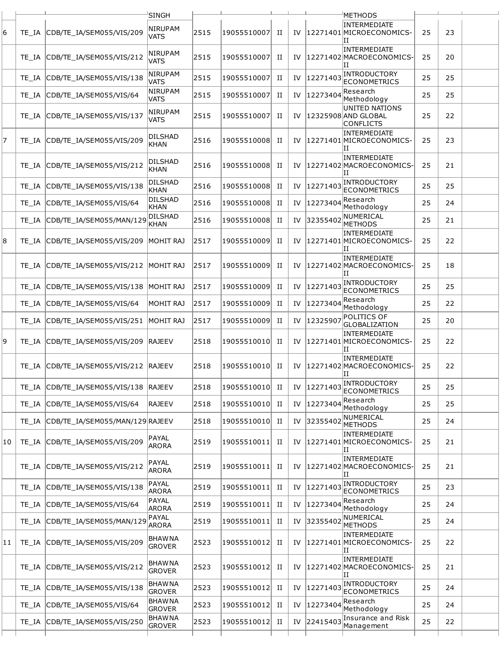|    |       |                                    | <b>SINGH</b>                   |      |             |   |    |              | METHODS                                                   |    |    |  |
|----|-------|------------------------------------|--------------------------------|------|-------------|---|----|--------------|-----------------------------------------------------------|----|----|--|
| 6  | TE IA | CDB/TE_IA/SEM055/VIS/209           | <b>NIRUPAM</b><br><b>VATS</b>  | 2515 | 19055510007 | п | IV |              | INTERMEDIATE<br>12271401 MICROECONOMICS-<br>ΙI            | 25 | 23 |  |
|    | TE IA | CDB/TE_IA/SEM055/VIS/212           | <b>NIRUPAM</b><br><b>VATS</b>  | 2515 | 19055510007 | П |    |              | <b>INTERMEDIATE</b><br>IV  12271402 MACROECONOMICS-<br>ΙT | 25 | 20 |  |
|    | TE IA | CDB/TE_IA/SEM055/VIS/138           | <b>NIRUPAM</b><br><b>VATS</b>  | 2515 | 19055510007 | п |    | IV  12271403 | <b>INTRODUCTORY</b><br><b>ECONOMETRICS</b>                | 25 | 25 |  |
|    | TE IA | CDB/TE IA/SEM055/VIS/64            | <b>NIRUPAM</b><br><b>VATS</b>  | 2515 | 19055510007 | п | IV | 12273404     | Research<br>Methodology                                   | 25 | 25 |  |
|    | TE IA | CDB/TE_IA/SEM055/VIS/137           | <b>NIRUPAM</b><br><b>VATS</b>  | 2515 | 19055510007 | п | IV |              | UNITED NATIONS<br>12325908 AND GLOBAL<br><b>CONFLICTS</b> | 25 | 22 |  |
| 7  | TE IA | CDB/TE_IA/SEM055/VIS/209           | <b>DILSHAD</b><br><b>KHAN</b>  | 2516 | 19055510008 | п |    |              | <b>INTERMEDIATE</b><br>IV  12271401 MICROECONOMICS-<br>IΙ | 25 | 23 |  |
|    | TE IA | CDB/TE_IA/SEM055/VIS/212           | <b>DILSHAD</b><br>KHAN         | 2516 | 19055510008 | п | IV |              | INTERMEDIATE<br>12271402 MACROECONOMICS-<br>ΠT            | 25 | 21 |  |
|    | TE IA | CDB/TE_IA/SEM055/VIS/138           | <b>DILSHAD</b><br><b>KHAN</b>  | 2516 | 19055510008 | п | IV | 12271403     | INTRODUCTORY<br><b>ECONOMETRICS</b>                       | 25 | 25 |  |
|    | TE_IA | CDB/TE_IA/SEM055/VIS/64            | DILSHAD<br>KHAN                | 2516 | 19055510008 | п | IV | 1227340      | Research<br>Methodology                                   | 25 | 24 |  |
|    | TE IA | CDB/TE_IA/SEM055/MAN/129           | DILSHAD<br>KHAN                | 2516 | 19055510008 | п |    | IV 32355402  | NUMERICAL<br><b>METHODS</b>                               | 25 | 21 |  |
| 8  | TE IA | CDB/TE IA/SEM055/VIS/209           | MOHIT RAJ                      | 2517 | 19055510009 | п | IV |              | INTERMEDIATE<br>12271401 MICROECONOMICS-<br>ΙI            | 25 | 22 |  |
|    | TE IA | CDB/TE_IA/SEM055/VIS/212 MOHIT RAJ |                                | 2517 | 19055510009 | п | IV |              | INTERMEDIATE<br>12271402 MACROECONOMICS-<br>ΙI            | 25 | 18 |  |
|    | TE IA | CDB/TE_IA/SEM055/VIS/138           | MOHIT RAJ                      | 2517 | 19055510009 | п | IV | 12271403     | INTRODUCTORY<br><b>ECONOMETRICS</b>                       | 25 | 25 |  |
|    | TE IA | CDB/TE_IA/SEM055/VIS/64            | MOHIT RAJ                      | 2517 | 19055510009 | П | IV | 12273404     | Research<br>Methodology                                   | 25 | 22 |  |
|    | TE_IA | CDB/TE_IA/SEM055/VIS/251           | MOHIT RAJ                      | 2517 | 19055510009 | п | IV | 1232590      | POLITICS OF<br><b>GLOBALIZATION</b>                       | 25 | 20 |  |
| 9  | TE IA | CDB/TE_IA/SEM055/VIS/209           | <b>RAJEEV</b>                  | 2518 | 19055510010 | п | IV |              | <b>INTERMEDIATE</b><br>12271401 MICROECONOMICS-<br>IΙ     | 25 | 22 |  |
|    | TE IA | CDB/TE_IA/SEM055/VIS/212 RAJEEV    |                                | 2518 | 19055510010 | П | IV |              | <b>INTERMEDIATE</b><br>12271402 MACROECONOMICS-<br>ΙI     | 25 | 22 |  |
|    | TE IA | CDB/TE_IA/SEM055/VIS/138           | <b>RAJEEV</b>                  | 2518 | 19055510010 | п | IV | 12271403     | INTRODUCTORY<br><b>ECONOMETRICS</b>                       | 25 | 25 |  |
|    | TE IA | CDB/TE_IA/SEM055/VIS/64            | <b>RAJEEV</b>                  | 2518 | 19055510010 | П | IV | 1227340      | Research<br>Methodology                                   | 25 | 25 |  |
|    | TE IA | CDB/TE_IA/SEM055/MAN/129 RAJEEV    |                                | 2518 | 19055510010 | п |    | IV 32355402  | NUMERICAL<br>METHODS                                      | 25 | 24 |  |
| 10 | TE IA | CDB/TE_IA/SEM055/VIS/209           | PAYAL<br><b>ARORA</b>          | 2519 | 19055510011 | п |    |              | INTERMEDIATE<br>IV  12271401 MICROECONOMICS-<br>ΙI        | 25 | 21 |  |
|    | TE IA | CDB/TE IA/SEM055/VIS/212           | PAYAL<br><b>ARORA</b>          | 2519 | 19055510011 | п | IV |              | INTERMEDIATE<br>12271402 MACROECONOMICS-<br>П             | 25 | 21 |  |
|    | TE IA | CDB/TE_IA/SEM055/VIS/138           | PAYAL<br>ARORA                 | 2519 | 19055510011 | П | IV | 12271403     | <b>INTRODUCTORY</b><br><b>ECONOMETRICS</b>                | 25 | 23 |  |
|    | TE IA | CDB/TE_IA/SEM055/VIS/64            | PAYAL<br><b>ARORA</b>          | 2519 | 19055510011 | п |    | IV  12273404 | Research<br>Methodology                                   | 25 | 24 |  |
|    | TE IA | CDB/TE_IA/SEM055/MAN/129           | PAYAL<br><b>ARORA</b>          | 2519 | 19055510011 | П | IV | 3235540      | NUMERICAL<br><b>METHODS</b>                               | 25 | 24 |  |
| 11 | TE IA | CDB/TE_IA/SEM055/VIS/209           | <b>BHAWNA</b><br><b>GROVER</b> | 2523 | 19055510012 | П |    |              | <b>INTERMEDIATE</b><br>IV  12271401 MICROECONOMICS-<br>IΙ | 25 | 22 |  |
|    | TE IA | CDB/TE_IA/SEM055/VIS/212           | BHAW NA<br><b>GROVER</b>       | 2523 | 19055510012 | H | IV |              | <b>INTERMEDIATE</b><br>12271402 MACROECONOMICS-<br>IΙ     | 25 | 21 |  |
|    | TE IA | CDB/TE_IA/SEM055/VIS/138           | <b>BHAWNA</b><br><b>GROVER</b> | 2523 | 19055510012 | п |    | IV  12271403 | INTRODUCTORY<br><b>ECONOMETRICS</b>                       | 25 | 24 |  |
|    | TE IA | CDB/TE_IA/SEM055/VIS/64            | <b>BHAWNA</b><br><b>GROVER</b> | 2523 | 19055510012 | П | IV | 12273404     | Research<br>Methodology                                   | 25 | 24 |  |
|    | TE_IA | CDB/TE_IA/SEM055/VIS/250           | <b>BHAWNA</b><br><b>GROVER</b> | 2523 | 19055510012 | H |    | IV 22415403  | Insurance and Risk<br>Management                          | 25 | 22 |  |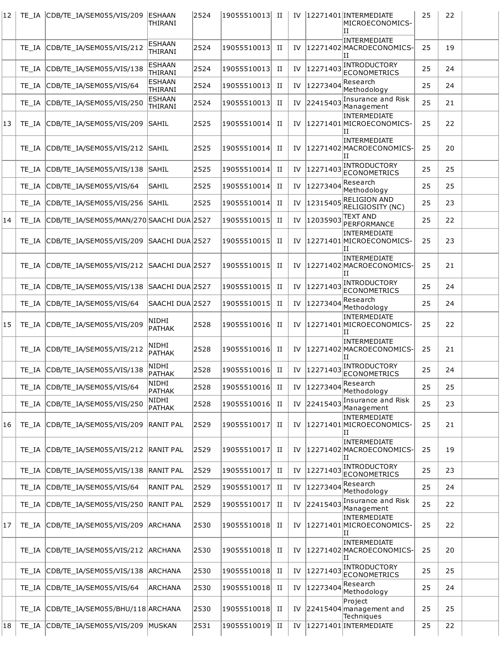| $ 12\rangle$ |       | TE_IA CDB/TE_IA/SEM055/VIS/209 ESHAAN    | THIRANI                  | 2524 | 19055510013  II |             |    |             | IV  12271401 INTERMEDIATE<br>MICROECONOMICS-<br>П    | 25 | 22 |  |
|--------------|-------|------------------------------------------|--------------------------|------|-----------------|-------------|----|-------------|------------------------------------------------------|----|----|--|
|              | TE IA | CDB/TE_IA/SEM055/VIS/212                 | ESHAAN<br>THIRANI        | 2524 | 19055510013     | П           | IV |             | <b>INTERMEDIATE</b><br>12271402 MACROECONOMICS-<br>Ш | 25 | 19 |  |
|              | TE IA | CDB/TE_IA/SEM055/VIS/138                 | <b>ESHAAN</b><br>THIRANI | 2524 | 19055510013     | П           | IV | 12271403    | INTRODUCTORY<br><b>ECONOMETRICS</b>                  | 25 | 24 |  |
|              | TE IA | CDB/TE_IA/SEM055/VIS/64                  | <b>ESHAAN</b><br>THIRANI | 2524 | 19055510013     | П           | IV | 12273404    | Research<br>Methodology                              | 25 | 24 |  |
|              | TE IA | CDB/TE IA/SEM055/VIS/250                 | <b>ESHAAN</b><br>THIRANI | 2524 | 19055510013     | П           | IV | 22415403    | Insurance and Risk<br>Management                     | 25 | 21 |  |
| 13           | TE IA | CDB/TE_IA/SEM055/VIS/209                 | <b>SAHIL</b>             | 2525 | 19055510014     | П           | IV |             | INTERMEDIATE<br>12271401 MICROECONOMICS-<br>ΙT       | 25 | 22 |  |
|              | TE IA | CDB/TE_IA/SEM055/VIS/212 SAHIL           |                          | 2525 | 19055510014     | П           | IV |             | INTERMEDIATE<br>12271402 MACROECONOMICS-<br>IΙ       | 25 | 20 |  |
|              | TE IA | CDB/TE IA/SEM055/VIS/138 SAHIL           |                          | 2525 | 19055510014     | П           | IV | 12271403    | <b>INTRODUCTORY</b><br><b>ECONOMETRICS</b>           | 25 | 25 |  |
|              | TE IA | CDB/TE_IA/SEM055/VIS/64                  | ISAHIL                   | 2525 | 19055510014     | П           | IV | 12273404    | Research<br>Methodology                              | 25 | 25 |  |
|              | TE IA | CDB/TE IA/SEM055/VIS/256 SAHIL           |                          | 2525 | 19055510014     | П           | IV | 12315405    | <b>RELIGION AND</b><br>RELIGIOSITY (NC)              | 25 | 23 |  |
| 14           | TE IA | CDB/TE_IA/SEM055/MAN/270 SAACHI DUA 2527 |                          |      | 19055510015     | П           | IV | 12035903    | <b>TEXT AND</b><br>PERFORMANCE                       | 25 | 22 |  |
|              | TE IA | CDB/TE IA/SEM055/VIS/209 SAACHI DUA 2527 |                          |      | 19055510015     | П           | IV |             | INTERMEDIATE<br>12271401 MICROECONOMICS-<br>ΠT       | 25 | 23 |  |
|              | TE IA | CDB/TE_IA/SEM055/VIS/212 SAACHI DUA 2527 |                          |      | 19055510015     | П           | IV |             | INTERMEDIATE<br>12271402 MACROECONOMICS-<br>IΙ       | 25 | 21 |  |
|              | TE IA | CDB/TE_IA/SEM055/VIS/138 SAACHI DUA 2527 |                          |      | 19055510015     | П           | IV | 12271403    | INTRODUCTORY<br><b>ECONOMETRICS</b>                  | 25 | 24 |  |
|              | TE IA | CDB/TE_IA/SEM055/VIS/64                  | SAACHI DUA 2527          |      | 19055510015     | П           | IV | 12273404    | Research<br>Methodology                              | 25 | 24 |  |
| 15           | TE IA | CDB/TE_IA/SEM055/VIS/209                 | NIDHI<br>PATHAK          | 2528 | 19055510016     | П           | IV |             | INTERMEDIATE<br>12271401 MICROECONOMICS-<br>IΙ       | 25 | 22 |  |
|              | TE IA | CDB/TE_IA/SEM055/VIS/212                 | NIDHI<br>PATHAK          | 2528 | 19055510016     | П           | IV |             | INTERMEDIATE<br>12271402 MACROECONOMICS-<br>Ш        | 25 | 21 |  |
|              |       | TE IA CDB/TE IA/SEM055/VIS/138           | NIDHI<br>PATHAK          | 2528 | 19055510016     | П           |    |             | IV 12271403 INTRODUCTORY                             | 25 | 24 |  |
|              | TE IA | CDB/TE_IA/SEM055/VIS/64                  | NIDHI<br>PATHAK          | 2528 | 19055510016     | П           | IV | 12273404    | Research<br>Methodology                              | 25 | 25 |  |
|              | TE IA | CDB/TE_IA/SEM055/VIS/250                 | NIDHI<br>PATHAK          | 2528 | 19055510016     | П           |    | IV 22415403 | Insurance and Risk<br>Management                     | 25 | 23 |  |
| 16           | TE IA | CDB/TE IA/SEM055/VIS/209 RANIT PAL       |                          | 2529 | 19055510017     | П           | IV |             | INTERMEDIATE<br>12271401 MICROECONOMICS-<br>ΠI       | 25 | 21 |  |
|              | TE IA | CDB/TE_IA/SEM055/VIS/212  RANIT PAL      |                          | 2529 | 19055510017     | П           | IV |             | INTERMEDIATE<br>12271402 MACROECONOMICS-<br>Ш        | 25 | 19 |  |
|              | TE IA | CDB/TE_IA/SEM055/VIS/138  RANIT PAL      |                          | 2529 | 19055510017     | П           | IV | 12271403    | INTRODUCTORY<br><b>ECONOMETRICS</b>                  | 25 | 23 |  |
|              | TE_IA | CDB/TE_IA/SEM055/VIS/64                  | <b>RANIT PAL</b>         | 2529 | 19055510017     | П           | IV | 12273404    | Research<br>Methodology                              | 25 | 24 |  |
|              | TE IA | CDB/TE_IA/SEM055/VIS/250 RANIT PAL       |                          | 2529 | 19055510017     | П           | IV | 22415403    | Insurance and Risk<br>Management                     | 25 | 22 |  |
| 17           | TE IA | CDB/TE_IA/SEM055/VIS/209 ARCHANA         |                          | 2530 | 19055510018     | П           | IV |             | INTERMEDIATE<br>12271401 MICROECONOMICS-<br>Π        | 25 | 22 |  |
|              | TE IA | CDB/TE_IA/SEM055/VIS/212 ARCHANA         |                          | 2530 | 19055510018     | H           | IV |             | INTERMEDIATE<br>12271402 MACROECONOMICS-<br>IΙ       | 25 | 20 |  |
|              | TE IA | CDB/TE_IA/SEM055/VIS/138 ARCHANA         |                          | 2530 | 19055510018     | П           | IV | 12271403    | INTRODUCTORY<br><b>ECONOMETRICS</b>                  | 25 | 25 |  |
|              | TE IA | CDB/TE_IA/SEM055/VIS/64                  | ARCHANA                  | 2530 | 19055510018     | П           | IV | 12273404    | Research<br>Methodology                              | 25 | 24 |  |
|              | TE IA | CDB/TE_IA/SEM055/BHU/118 ARCHANA         |                          | 2530 | 19055510018     | П           | IV |             | Project<br>$ 22415404 $ management and<br>Techniques | 25 | 25 |  |
| 18           | TE_IA | CDB/TE_IA/SEM055/VIS/209 MUSKAN          |                          | 2531 | 19055510019     | $_{\rm II}$ | IV |             | 12271401 INTERMEDIATE                                | 25 | 22 |  |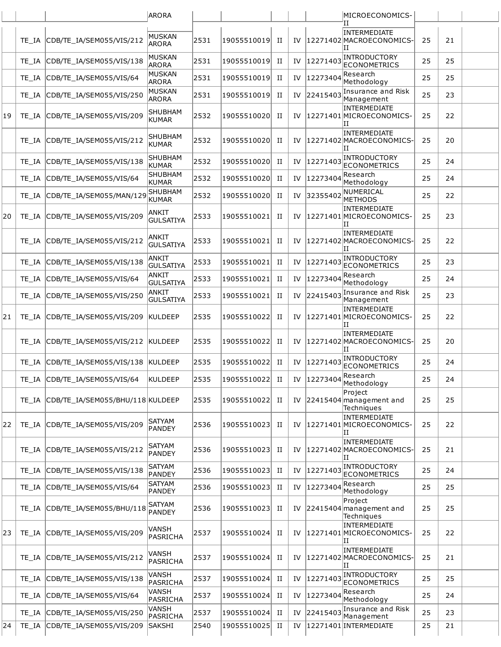|    |       |                                  | <b>ARORA</b>                   |      |             |   |    |          | MICROECONOMICS-                                        |    |    |  |
|----|-------|----------------------------------|--------------------------------|------|-------------|---|----|----------|--------------------------------------------------------|----|----|--|
|    | TE IA | CDB/TE_IA/SEM055/VIS/212         | MUSKAN                         | 2531 | 19055510019 | П | IV |          | Н<br>INTERMEDIATE<br>12271402 MACROECONOMICS-          | 25 | 21 |  |
|    |       |                                  | <b>ARORA</b><br><b>MUSKAN</b>  |      |             |   |    |          | IΙ<br><b>INTRODUCTORY</b>                              |    |    |  |
|    | TE IA | CDB/TE IA/SEM055/VIS/138         | <b>ARORA</b><br><b>MUSKAN</b>  | 2531 | 19055510019 | п | IV | 12271403 | <b>ECONOMETRICS</b><br>Research                        | 25 | 25 |  |
|    | TE IA | CDB/TE_IA/SEM055/VIS/64          | <b>ARORA</b>                   | 2531 | 19055510019 | П | IV | 12273404 | Methodology<br>Insurance and Risk                      | 25 | 25 |  |
|    | TE IA | CDB/TE_IA/SEM055/VIS/250         | MUSKAN<br><b>ARORA</b>         | 2531 | 19055510019 | П | IV | 22415403 | Management                                             | 25 | 23 |  |
| 19 | TE IA | CDB/TE_IA/SEM055/VIS/209         | <b>SHUBHAM</b><br>KUMAR        | 2532 | 19055510020 | и | IV |          | INTERMEDIATE<br>12271401 MICROECONOMICS-<br>IΙ         | 25 | 22 |  |
|    | TE IA | CDB/TE_IA/SEM055/VIS/212         | <b>SHUBHAM</b><br>KUMAR        | 2532 | 19055510020 | и | IV |          | INTERMEDIATE<br>12271402 MACROECONOMICS-<br>IΙ         | 25 | 20 |  |
|    | TE IA | CDB/TE_IA/SEM055/VIS/138         | <b>SHUBHAM</b><br>KUMAR        | 2532 | 19055510020 | П | IV | 12271403 | INTRODUCTORY<br><b>ECONOMETRICS</b>                    | 25 | 24 |  |
|    | TE IA | CDB/TE_IA/SEM055/VIS/64          | <b>SHUBHAM</b><br>KUMAR        | 2532 | 19055510020 | П | IV | 12273404 | Research<br>Methodology                                | 25 | 24 |  |
|    | TE IA | CDB/TE_IA/SEM055/MAN/129         | <b>SHUBHAM</b><br><b>KUMAR</b> | 2532 | 19055510020 | п | IV | 32355402 | NUMERICAL<br><b>METHODS</b>                            | 25 | 22 |  |
| 20 | TE IA | CDB/TE IA/SEM055/VIS/209         | ANKIT<br><b>GULSATIYA</b>      | 2533 | 19055510021 | п | IV |          | <b>INTERMEDIATE</b><br>12271401 MICROECONOMICS-<br>IΙ  | 25 | 23 |  |
|    | TE IA | CDB/TE_IA/SEM055/VIS/212         | ANKIT<br><b>GULSATIYA</b>      | 2533 | 19055510021 | П | IV |          | INTERMEDIATE<br>12271402 MACROECONOMICS-<br>IΙ         | 25 | 22 |  |
|    | TE IA | CDB/TE_IA/SEM055/VIS/138         | ANKIT<br><b>GULSATIYA</b>      | 2533 | 19055510021 | П | IV | 12271403 | <b>INTRODUCTORY</b><br><b>ECONOMETRICS</b>             | 25 | 23 |  |
|    | TE IA | CDB/TE_IA/SEM055/VIS/64          | ANKIT<br><b>GULSATIYA</b>      | 2533 | 19055510021 | П | IV | 12273404 | Research<br>Methodology                                | 25 | 24 |  |
|    | TE IA | CDB/TE_IA/SEM055/VIS/250         | ANKIT<br><b>GULSATIYA</b>      | 2533 | 19055510021 | П | IV | 22415403 | Insurance and Risk<br>Management                       | 25 | 23 |  |
| 21 | TE IA | CDB/TE_IA/SEM055/VIS/209         | KULDEEP                        | 2535 | 19055510022 | и | IV |          | <b>INTERMEDIATE</b><br> 12271401 MICROECONOMICS-<br>IΙ | 25 | 22 |  |
|    | TE IA | CDB/TE IA/SEM055/VIS/212 KULDEEP |                                | 2535 | 19055510022 | П | IV |          | INTERMEDIATE<br>12271402 MACROECONOMICS-<br>IΙ         | 25 | 20 |  |
|    | TE IA | CDB/TE IA/SEM055/VIS/138 KULDEEP |                                | 2535 | 19055510022 | П | IV | 12271403 | <b>INTRODUCTORY</b><br><b>ECONOMETRICS</b>             | 25 | 24 |  |
|    | TE_IA | CDB/TE IA/SEM055/VIS/64          | KULDEEP                        | 2535 | 19055510022 | П | IV | 12273404 | Research<br>Methodology                                | 25 | 24 |  |
|    | TE IA | CDB/TE IA/SEM055/BHU/118 KULDEEP |                                | 2535 | 19055510022 | п | IV |          | Project<br>22415404 management and<br>Techniques       | 25 | 25 |  |
| 22 | TE IA | CDB/TE_IA/SEM055/VIS/209         | SATYAM<br>PANDEY               | 2536 | 19055510023 | п | IV |          | INTERMEDIATE<br>12271401 MICROECONOMICS-<br>IΙ         | 25 | 22 |  |
|    | TE_IA | CDB/TE_IA/SEM055/VIS/212         | SATYAM<br>PANDEY               | 2536 | 19055510023 | H | IV |          | INTERMEDIATE<br>12271402 MACROECONOMICS-<br>ΙI         | 25 | 21 |  |
|    | TE IA | CDB/TE_IA/SEM055/VIS/138         | <b>SATYAM</b><br>PANDEY        | 2536 | 19055510023 | П | IV | 12271403 | INTRODUCTORY<br><b>ECONOMETRICS</b>                    | 25 | 24 |  |
|    | TE IA | CDB/TE_IA/SEM055/VIS/64          | SATYAM<br>PANDEY               | 2536 | 19055510023 | П | IV | 12273404 | Research<br>Methodology                                | 25 | 25 |  |
|    | TE IA | CDB/TE_IA/SEM055/BHU/118         | SATYAM<br>PANDEY               | 2536 | 19055510023 | п | IV |          | Project<br>$ 22415404 $ management and<br>Techniques   | 25 | 25 |  |
| 23 | TE IA | CDB/TE_IA/SEM055/VIS/209         | VANSH<br>PASRICHA              | 2537 | 19055510024 | п | IV |          | INTERMEDIATE<br>12271401 MICROECONOMICS-<br>П          | 25 | 22 |  |
|    | TE IA | CDB/TE_IA/SEM055/VIS/212         | <b>VANSH</b><br>PASRICHA       | 2537 | 19055510024 | п | IV |          | <b>INTERMEDIATE</b><br>12271402 MACROECONOMICS-<br>IΙ  | 25 | 21 |  |
|    | TE_IA | CDB/TE_IA/SEM055/VIS/138         | <b>VANSH</b><br>PASRICHA       | 2537 | 19055510024 | П | IV | 12271403 | INTRODUCTORY<br><b>ECONOMETRICS</b>                    | 25 | 25 |  |
|    | TE_IA | CDB/TE_IA/SEM055/VIS/64          | VANSH<br>PASRICHA              | 2537 | 19055510024 | H | IV | 12273404 | Research<br>Methodology                                | 25 | 24 |  |
|    | TE IA | CDB/TE_IA/SEM055/VIS/250         | <b>VANSH</b><br>PASRICHA       | 2537 | 19055510024 | П | IV | 22415403 | Insurance and Risk<br>Management                       | 25 | 23 |  |
| 24 | TE_IA | CDB/TE_IA/SEM055/VIS/209         | SAKSHI                         | 2540 | 19055510025 | П | IV |          | 12271401 INTERMEDIATE                                  | 25 | 21 |  |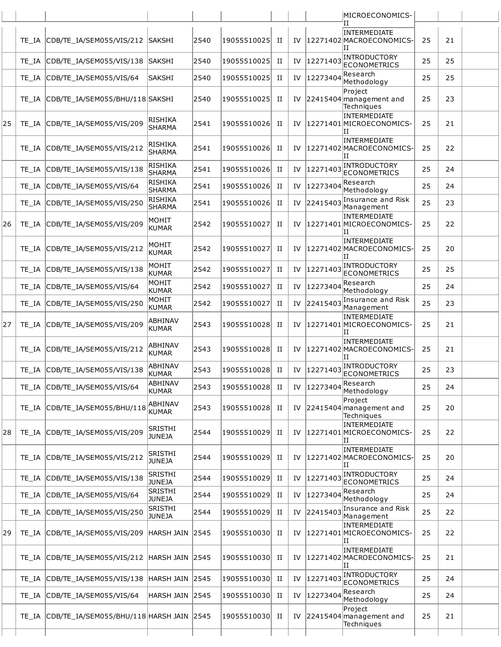|    |       |                                          |                                 |      |             |   |    |             | MICROECONOMICS-                                           |    |    |  |
|----|-------|------------------------------------------|---------------------------------|------|-------------|---|----|-------------|-----------------------------------------------------------|----|----|--|
|    | TE IA | CDB/TE_IA/SEM055/VIS/212 SAKSHI          |                                 | 2540 | 19055510025 | П | IV |             | Ή<br>INTERMEDIATE<br>12271402 MACROECONOMICS-<br>П        | 25 | 21 |  |
|    | TE_IA | CDB/TE IA/SEM055/VIS/138                 | <b>SAKSHI</b>                   | 2540 | 19055510025 | п | IV | 12271403    | INTRODUCTORY<br><b>ECONOMETRICS</b>                       | 25 | 25 |  |
|    | TE IA | CDB/TE_IA/SEM055/VIS/64                  | <b>SAKSHI</b>                   | 2540 | 19055510025 | п | IV | 12273404    | Research<br>Methodology                                   | 25 | 25 |  |
|    | TE IA | CDB/TE IA/SEM055/BHU/118 SAKSHI          |                                 | 2540 | 19055510025 | п | IV |             | Project<br>$ 22415404 $ management and<br>Techniques      | 25 | 23 |  |
| 25 | TE IA | CDB/TE IA/SEM055/VIS/209                 | RISHIKA<br><b>SHARMA</b>        | 2541 | 19055510026 | п | IV |             | <b>INTERMEDIATE</b><br>12271401 MICROECONOMICS-<br>IΙ     | 25 | 21 |  |
|    | TE IA | CDB/TE_IA/SEM055/VIS/212                 | <b>RISHIKA</b><br><b>SHARMA</b> | 2541 | 19055510026 | п | IV |             | INTERMEDIATE<br>12271402 MACROECONOMICS-<br>П             | 25 | 22 |  |
|    | TE_IA | CDB/TE IA/SEM055/VIS/138                 | <b>RISHIKA</b><br><b>SHARMA</b> | 2541 | 19055510026 | п | IV | 12271403    | INTRODUCTORY<br><b>ECONOMETRICS</b>                       | 25 | 24 |  |
|    | TE IA | CDB/TE IA/SEM055/VIS/64                  | <b>RISHIKA</b><br><b>SHARMA</b> | 2541 | 19055510026 | п | IV | 12273404    | Research<br>Methodology                                   | 25 | 24 |  |
|    | TE_IA | CDB/TE_IA/SEM055/VIS/250                 | <b>RISHIKA</b><br>SHARMA        | 2541 | 19055510026 | п | IV | 22415403    | Insurance and Risk<br>Management                          | 25 | 23 |  |
| 26 | TE IA | CDB/TE_IA/SEM055/VIS/209                 | MOHIT<br><b>KUMAR</b>           | 2542 | 19055510027 | п | IV |             | <b>INTERMEDIATE</b><br>12271401 MICROECONOMICS-<br>ΠT     | 25 | 22 |  |
|    | TE IA | CDB/TE_IA/SEM055/VIS/212                 | MOHIT<br><b>KUMAR</b>           | 2542 | 19055510027 | п | IV |             | <b>INTERMEDIATE</b><br>12271402 MACROECONOMICS-<br>ΙT     | 25 | 20 |  |
|    | TE IA | CDB/TE_IA/SEM055/VIS/138                 | <b>MOHIT</b><br>KUMAR           | 2542 | 19055510027 | п | IV | 12271403    | INTRODUCTORY<br><b>ECONOMETRICS</b>                       | 25 | 25 |  |
|    | TE_IA | CDB/TE_IA/SEM055/VIS/64                  | <b>MOHIT</b><br>KUMAR           | 2542 | 19055510027 | п | IV | 12273404    | Research<br>Methodology                                   | 25 | 24 |  |
|    | TE IA | CDB/TE_IA/SEM055/VIS/250                 | <b>MOHIT</b><br>KUMAR           | 2542 | 19055510027 | П | IV | 22415403    | Insurance and Risk<br>Management                          | 25 | 23 |  |
| 27 | TE IA | CDB/TE_IA/SEM055/VIS/209                 | ABHINAV<br><b>KUMAR</b>         | 2543 | 19055510028 | п | IV |             | <b>INTERMEDIATE</b><br>12271401 MICROECONOMICS-<br>IΙ     | 25 | 21 |  |
|    | TE IA | CDB/TE_IA/SEM055/VIS/212                 | ABHINAV<br><b>KUMAR</b>         | 2543 | 19055510028 | п | IV |             | <b>INTERMEDIATE</b><br>12271402 MACROECONOMICS-<br>П      | 25 | 21 |  |
|    |       | TE IA CDB/TE IA/SEM055/VIS/138           | <b>ABHINAV</b><br><b>KUMAR</b>  | 2543 | 19055510028 | п |    |             | IV 12271403 INTRODUCTORY                                  | 25 | 23 |  |
|    | TE IA | CDB/TE_IA/SEM055/VIS/64                  | <b>ABHINAV</b><br>KUMAR         | 2543 | 19055510028 | п | IV | 12273404    | Research<br>Methodology                                   | 25 | 24 |  |
|    | TE IA | CDB/TE_IA/SEM055/BHU/118                 | <b>ABHINAV</b><br><b>KUMAR</b>  | 2543 | 19055510028 | п | IV |             | Project<br>$ 22415404 $ management and<br>Techniques      | 25 | 20 |  |
| 28 | TE IA | CDB/TE_IA/SEM055/VIS/209                 | <b>SRISTHI</b><br><b>JUNEJA</b> | 2544 | 19055510029 | п | IV |             | <b>INTERMEDIATE</b><br>12271401 MICROECONOMICS-<br>IΙ     | 25 | 22 |  |
|    | TE IA | CDB/TE IA/SEM055/VIS/212                 | <b>SRISTHI</b><br><b>JUNEJA</b> | 2544 | 19055510029 | П | IV |             | INTERMEDIATE<br>12271402 MACROECONOMICS-<br>ΙI            | 25 | 20 |  |
|    | TE_IA | CDB/TE IA/SEM055/VIS/138                 | <b>SRISTHI</b><br><b>JUNEJA</b> | 2544 | 19055510029 | П |    | IV 12271403 | INTRODUCTORY<br><b>ECONOMETRICS</b>                       | 25 | 24 |  |
|    | TE IA | CDB/TE_IA/SEM055/VIS/64                  | <b>SRISTHI</b><br><b>JUNEJA</b> | 2544 | 19055510029 | п | IV | 12273404    | Research<br>Methodology                                   | 25 | 24 |  |
|    | TE IA | CDB/TE_IA/SEM055/VIS/250                 | <b>SRISTHI</b><br><b>JUNEJA</b> | 2544 | 19055510029 | H | IV | 22415403    | Insurance and Risk<br>Management                          | 25 | 22 |  |
| 29 | TE IA | CDB/TE_IA/SEM055/VIS/209                 | HARSH JAIN 2545                 |      | 19055510030 | П | IV |             | INTERMEDIATE<br>12271401 MICROECONOMICS-<br>IΙ            | 25 | 22 |  |
|    | TE IA | CDB/TE_IA/SEM055/VIS/212 HARSH JAIN 2545 |                                 |      | 19055510030 | п |    |             | <b>INTERMEDIATE</b><br>IV  12271402 MACROECONOMICS-<br>IΙ | 25 | 21 |  |
|    | TE IA | CDB/TE_IA/SEM055/VIS/138                 | <b>HARSH JAIN</b>               | 2545 | 19055510030 | п | IV | 12271403    | INTRODUCTORY<br><b>ECONOMETRICS</b>                       | 25 | 24 |  |
|    | TE IA | CDB/TE_IA/SEM055/VIS/64                  | HARSH JAIN 2545                 |      | 19055510030 | П |    | IV 12273404 | Research<br>Methodology                                   | 25 | 24 |  |
|    | TE IA | CDB/TE_IA/SEM055/BHU/118 HARSH JAIN 2545 |                                 |      | 19055510030 | H |    |             | Project<br>IV $ 22415404 $ management and<br>Techniques   | 25 | 21 |  |
|    |       |                                          |                                 |      |             |   |    |             |                                                           |    |    |  |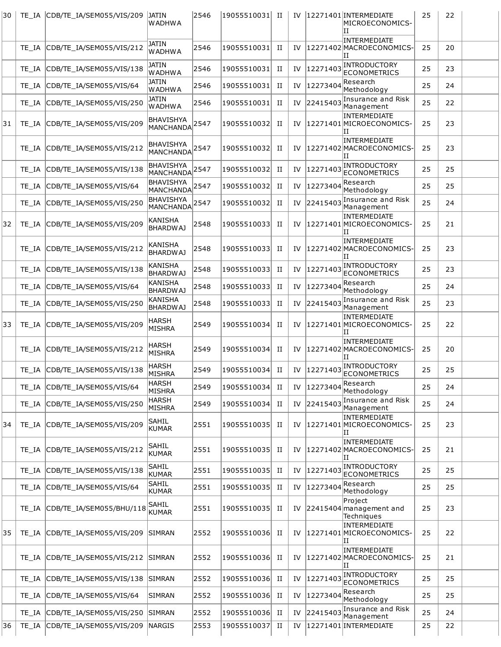| 30 | TE IA | CDB/TE IA/SEM055/VIS/209        | JATIN<br>WADHWA                               | 2546 | 19055510031  II |             | IV |          | 12271401 INTERMEDIATE<br>MICROECONOMICS-<br>IΙ<br><b>INTERMEDIATE</b> | 25 | 22 |  |
|----|-------|---------------------------------|-----------------------------------------------|------|-----------------|-------------|----|----------|-----------------------------------------------------------------------|----|----|--|
|    | TE IA | CDB/TE_IA/SEM055/VIS/212        | JATIN<br><b>WADHWA</b>                        | 2546 | 19055510031     | П           | IV |          | 12271402 MACROECONOMICS<br>IΙ                                         | 25 | 20 |  |
|    | TE IA | CDB/TE IA/SEM055/VIS/138        | JATIN<br><b>WADHWA</b>                        | 2546 | 19055510031     | П           | IV | 12271403 | INTRODUCTORY<br><b>ECONOMETRICS</b>                                   | 25 | 23 |  |
|    | TE IA | CDB/TE_IA/SEM055/VIS/64         | <b>JATIN</b><br><b>WADHWA</b>                 | 2546 | 19055510031     | П           | IV | 12273404 | Research<br>Methodology                                               | 25 | 24 |  |
|    | TE IA | CDB/TE IA/SEM055/VIS/250        | <b>JATIN</b><br><b>WADHWA</b>                 | 2546 | 19055510031     | П           | IV | 22415403 | Insurance and Risk<br>Management                                      | 25 | 22 |  |
| 31 | TE IA | CDB/TE_IA/SEM055/VIS/209        | <b>BHAVISHYA</b><br><b>MANCHANDA</b>          | 2547 | 19055510032     | П           | IV |          | <b>INTERMEDIATE</b><br>12271401 MICROECONOMICS-<br>IΙ                 | 25 | 23 |  |
|    | TE IA | CDB/TE_IA/SEM055/VIS/212        | <b>BHAVISHYA</b><br><b>MANCHANDA</b>          | 2547 | 19055510032     | П           | IV |          | INTERMEDIATE<br>12271402 MACROECONOMICS<br>ΙI                         | 25 | 23 |  |
|    | TE IA | CDB/TE IA/SEM055/VIS/138        | <b>BHAVISHYA</b><br>MANCHANDA <sup>2547</sup> |      | 19055510032     | П           | IV | 12271403 | <b>INTRODUCTORY</b><br><b>ECONOMETRICS</b>                            | 25 | 25 |  |
|    | TE IA | CDB/TE IA/SEM055/VIS/64         | BHAVISHYA<br>MANCHANDA                        | 2547 | 19055510032     | П           | IV | 12273404 | Research<br>Methodology                                               | 25 | 25 |  |
|    | TE IA | CDB/TE_IA/SEM055/VIS/250        | <b>BHAVISHYA</b><br>MANCHANDA <sup>2547</sup> |      | 19055510032     | П           | IV | 22415403 | Insurance and Risk<br>Management                                      | 25 | 24 |  |
| 32 | TE IA | CDB/TE IA/SEM055/VIS/209        | KANISHA<br><b>BHARDWAJ</b>                    | 2548 | 19055510033     | П           | IV |          | <b>INTERMEDIATE</b><br>12271401 MICROECONOMICS-<br>ΙI                 | 25 | 21 |  |
|    | TE IA | CDB/TE_IA/SEM055/VIS/212        | KANISHA<br><b>BHARDWAJ</b>                    | 2548 | 19055510033     | П           | IV |          | INTERMEDIATE<br>12271402 MACROECONOMICS<br>ΙT                         | 25 | 23 |  |
|    | TE IA | CDB/TE_IA/SEM055/VIS/138        | <b>KANISHA</b><br><b>BHARDWAJ</b>             | 2548 | 19055510033     | П           | IV | 12271403 | INTRODUCTORY<br><b>ECONOMETRICS</b>                                   | 25 | 23 |  |
|    | TE IA | CDB/TE_IA/SEM055/VIS/64         | <b>KANISHA</b><br><b>BHARDWAJ</b>             | 2548 | 19055510033     | П           | IV | 12273404 | Research<br>Methodology                                               | 25 | 24 |  |
|    | TE IA | CDB/TE_IA/SEM055/VIS/250        | <b>KANISHA</b><br><b>BHARDWAJ</b>             | 2548 | 19055510033     | П           | IV | 22415403 | Insurance and Risk<br>Management                                      | 25 | 23 |  |
| 33 | TE IA | CDB/TE IA/SEM055/VIS/209        | HARSH<br><b>MISHRA</b>                        | 2549 | 19055510034     | П           | IV |          | INTERMEDIATE<br>12271401 MICROECONOMICS-<br>ΙI                        | 25 | 22 |  |
|    | TE IA | CDB/TE_IA/SEM055/VIS/212        | HARSH<br><b>MISHRA</b>                        | 2549 | 19055510034     | П           | IV |          | INTERMEDIATE<br>12271402 MACROECONOMICS<br>IΙ                         | 25 | 20 |  |
|    |       | TE_IA CDB/TE_IA/SEM055/VIS/138  | <b>HARSH</b><br><b>MISHRA</b>                 | 2549 | 19055510034     | H           | IV |          | $\left 12271403\right $ INTRODUCTORY<br>ECONOMETRICS                  | 25 | 25 |  |
|    | TE_IA | CDB/TE IA/SEM055/VIS/64         | <b>HARSH</b><br>MISHRA                        | 2549 | 19055510034     | П           | IV | 12273404 | Research<br>Methodology                                               | 25 | 24 |  |
|    | TE IA | CDB/TE_IA/SEM055/VIS/250        | <b>HARSH</b><br><b>MISHRA</b>                 | 2549 | 19055510034     | П           | IV | 22415403 | Insurance and Risk<br>Management                                      | 25 | 24 |  |
| 34 |       | TE_IA CDB/TE_IA/SEM055/VIS/209  | SAHIL<br><b>KUMAR</b>                         | 2551 | 19055510035     | H           | IV |          | INTERMEDIATE<br>12271401 MICROECONOMICS-<br>ΙH                        | 25 | 23 |  |
|    | TE IA | CDB/TE IA/SEM055/VIS/212        | SAHIL<br><b>KUMAR</b>                         | 2551 | 19055510035     | П           | IV |          | INTERMEDIATE<br>12271402 MACROECONOMICS<br>ΙI                         | 25 | 21 |  |
|    | TE IA | CDB/TE_IA/SEM055/VIS/138        | <b>SAHIL</b><br><b>KUMAR</b>                  | 2551 | 19055510035     | П           | IV | 12271403 | INTRODUCTORY<br><b>ECONOMETRICS</b>                                   | 25 | 25 |  |
|    | TE_IA | CDB/TE_IA/SEM055/VIS/64         | SAHIL<br>KUMAR                                | 2551 | 19055510035  II |             | IV | 12273404 | Research<br>Methodology                                               | 25 | 25 |  |
|    | TE IA | CDB/TE_IA/SEM055/BHU/118        | <b>SAHIL</b><br>KUMAR                         | 2551 | 19055510035     | П           | IV |          | Project<br>$ 22415404 $ management and<br>Techniques                  | 25 | 23 |  |
| 35 | TE IA | CDB/TE_IA/SEM055/VIS/209        | <b>SIMRAN</b>                                 | 2552 | 19055510036     | П           | IV |          | INTERMEDIATE<br>12271401 MICROECONOMICS-<br>ΙI                        | 25 | 22 |  |
|    | TE IA | CDB/TE_IA/SEM055/VIS/212 SIMRAN |                                               | 2552 | 19055510036     | и           | IV |          | INTERMEDIATE<br>12271402 MACROECONOMICS<br>ΙH                         | 25 | 21 |  |
|    | TE IA | CDB/TE_IA/SEM055/VIS/138        | <b>SIMRAN</b>                                 | 2552 | 19055510036     | П           | IV | 12271403 | INTRODUCTORY<br><b>ECONOMETRICS</b>                                   | 25 | 25 |  |
|    | TE IA | CDB/TE_IA/SEM055/VIS/64         | SIMRAN                                        | 2552 | 19055510036  II |             | IV | 12273404 | Research<br>Methodology                                               | 25 | 25 |  |
|    | TE IA | CDB/TE_IA/SEM055/VIS/250        | <b>SIMRAN</b>                                 | 2552 | 19055510036     | П           | IV | 22415403 | Insurance and Risk<br>Management                                      | 25 | 24 |  |
| 36 | TE_IA | CDB/TE_IA/SEM055/VIS/209 NARGIS |                                               | 2553 | 19055510037     | $_{\rm II}$ | IV |          | 12271401 INTERMEDIATE                                                 | 25 | 22 |  |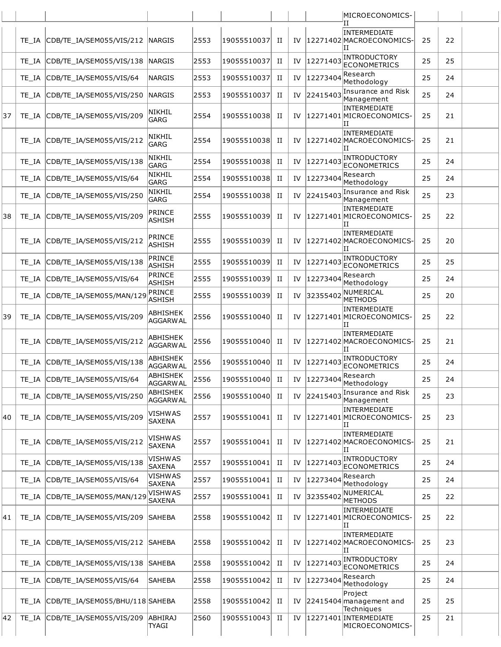|    |       |                                 |                                    |      |             |   |    |                                                   | MICROECONOMICS-                                       |    |    |  |
|----|-------|---------------------------------|------------------------------------|------|-------------|---|----|---------------------------------------------------|-------------------------------------------------------|----|----|--|
|    | TE IA | CDB/TE_IA/SEM055/VIS/212        | <b>NARGIS</b>                      | 2553 | 19055510037 | п | IV |                                                   | Н<br>INTERMEDIATE<br>12271402 MACROECONOMICS-<br>ΙI   | 25 | 22 |  |
|    | TE IA | CDB/TE_IA/SEM055/VIS/138        | <b>NARGIS</b>                      | 2553 | 19055510037 | П | IV | 12271403                                          | INTRODUCTORY<br><b>ECONOMETRICS</b>                   | 25 | 25 |  |
|    | TE IA | CDB/TE_IA/SEM055/VIS/64         | NARGIS                             | 2553 | 19055510037 | п | IV | 12273404                                          | Research<br>Methodology                               | 25 | 24 |  |
|    | TE IA | CDB/TE IA/SEM055/VIS/250        | <b>NARGIS</b>                      | 2553 | 19055510037 | П | IV | 22415403                                          | Insurance and Risk<br>Management                      | 25 | 24 |  |
| 37 | TE IA | CDB/TE_IA/SEM055/VIS/209        | NIKHIL<br><b>GARG</b>              | 2554 | 19055510038 | П | IV |                                                   | INTERMEDIATE<br>12271401 MICROECONOMICS-<br>ΙTΤ       | 25 | 21 |  |
|    | TE IA | CDB/TE_IA/SEM055/VIS/212        | NIKHIL<br>GARG                     | 2554 | 19055510038 | н | IV |                                                   | INTERMEDIATE<br>12271402 MACROECONOMICS-<br>ΙH        | 25 | 21 |  |
|    | TE IA | CDB/TE_IA/SEM055/VIS/138        | NIKHIL<br>GARG                     | 2554 | 19055510038 | п | IV | 12271403                                          | INTRODUCTORY<br><b>ECONOMETRICS</b>                   | 25 | 24 |  |
|    | TE IA | CDB/TE IA/SEM055/VIS/64         | <b>NIKHIL</b><br>GARG              | 2554 | 19055510038 | П | IV | 12273404                                          | Research<br>Methodology                               | 25 | 24 |  |
|    | TE IA | CDB/TE_IA/SEM055/VIS/250        | NIKHIL<br>GARG                     | 2554 | 19055510038 | п | IV | 22415403                                          | Insurance and Risk<br>Management                      | 25 | 23 |  |
| 38 | TE IA | CDB/TE_IA/SEM055/VIS/209        | PRINCE<br>ASHISH                   | 2555 | 19055510039 | н | IV |                                                   | INTERMEDIATE<br>12271401 MICROECONOMICS-<br>ΙI        | 25 | 22 |  |
|    | TE IA | CDB/TE IA/SEM055/VIS/212        | <b>PRINCE</b><br>ASHISH            | 2555 | 19055510039 | п | IV |                                                   | INTERMEDIATE<br>12271402 MACROECONOMICS-<br>ΙH        | 25 | 20 |  |
|    | TE IA | CDB/TE_IA/SEM055/VIS/138        | <b>PRINCE</b><br>ASHISH            | 2555 | 19055510039 | П | IV | 12271403                                          | INTRODUCTORY<br><b>ECONOMETRICS</b>                   | 25 | 25 |  |
|    | TE IA | CDB/TE_IA/SEM055/VIS/64         | PRINCE<br>ASHISH                   | 2555 | 19055510039 | п | IV | 12273404                                          | Research<br>Methodology                               | 25 | 24 |  |
|    | TE IA | CDB/TE_IA/SEM055/MAN/129        | PRINCE<br>ASHISH                   | 2555 | 19055510039 | П | IV | 32355402                                          | NUMERICAL<br><b>METHODS</b>                           | 25 | 20 |  |
| 39 | TE IA | CDB/TE_IA/SEM055/VIS/209        | ABHISHEK<br><b>AGGARWAL</b>        | 2556 | 19055510040 | п | IV |                                                   | <b>INTERMEDIATE</b><br>12271401 MICROECONOMICS-<br>lΗ | 25 | 22 |  |
|    | TE IA | CDB/TE IA/SEM055/VIS/212        | ABHISHEK<br><b>AGGARWAL</b>        | 2556 | 19055510040 | п | IV |                                                   | INTERMEDIATE<br>12271402 MACROECONOMICS-<br>ΙH        | 25 | 21 |  |
|    | TE IA | CDB/TE_IA/SEM055/VIS/138        | ABHISHEK<br><b>AGGARWAL</b>        | 2556 | 19055510040 | и | IV | 12271403                                          | <b>INTRODUCTORY</b><br><b>ECONOMETRICS</b>            | 25 | 24 |  |
|    | TE IA | CDB/TE IA/SEM055/VIS/64         | ABHISHEK<br>AGGARWAL               | 2556 | 19055510040 | П | IV | $\left  \frac{12273404}{\sqrt{12273404}} \right $ | Methodology                                           | 25 | 24 |  |
|    | TE IA | CDB/TE_IA/SEM055/VIS/250        | <b>ABHISHEK</b><br><b>AGGARWAL</b> | 2556 | 19055510040 | п | IV | 22415403                                          | Insurance and Risk<br>Management                      | 25 | 23 |  |
| 40 | TE IA | CDB/TE IA/SEM055/VIS/209        | <b>VISHWAS</b><br>SAXENA           | 2557 | 19055510041 | П | IV |                                                   | INTERMEDIATE<br>12271401 MICROECONOMICS-<br>IΙ        | 25 | 23 |  |
|    | TE IA | CDB/TE IA/SEM055/VIS/212        | <b>VISHWAS</b><br><b>SAXENA</b>    | 2557 | 19055510041 | П | IV |                                                   | INTERMEDIATE<br>12271402 MACROECONOMICS-<br>ΙI        | 25 | 21 |  |
|    | TE IA | CDB/TE IA/SEM055/VIS/138        | VISHWAS<br>SAXENA                  | 2557 | 19055510041 | П | IV | 12271403                                          | INTRODUCTORY<br><b>ECONOMETRICS</b>                   | 25 | 24 |  |
|    | TE IA | CDB/TE IA/SEM055/VIS/64         | <b>VISHWAS</b><br><b>SAXENA</b>    | 2557 | 19055510041 | П | IV | 12273404                                          | Research<br>Methodology                               | 25 | 24 |  |
|    | TE IA | CDB/TE_IA/SEM055/MAN/129        | <b>VISHWAS</b><br><b>SAXENA</b>    | 2557 | 19055510041 | П | IV | 32355402                                          | NUMERICAL<br>METHODS                                  | 25 | 22 |  |
| 41 | TE IA | CDB/TE_IA/SEM055/VIS/209        | <b>SAHEBA</b>                      | 2558 | 19055510042 | H | IV |                                                   | INTERMEDIATE<br>12271401 MICROECONOMICS-<br>IΙ        | 25 | 22 |  |
|    | TE IA | CDB/TE_IA/SEM055/VIS/212        | <b>SAHEBA</b>                      | 2558 | 19055510042 | П | IV |                                                   | INTERMEDIATE<br>12271402 MACROECONOMICS-<br>ΙH        | 25 | 23 |  |
|    | TE IA | CDB/TE IA/SEM055/VIS/138        | <b>SAHEBA</b>                      | 2558 | 19055510042 | П | IV | 12271403                                          | INTRODUCTORY<br><b>ECONOMETRICS</b>                   | 25 | 24 |  |
|    | TE IA | CDB/TE IA/SEM055/VIS/64         | SAHEBA                             | 2558 | 19055510042 | П | IV | 12273404                                          | Research<br>Methodology                               | 25 | 24 |  |
|    | TE IA | CDB/TE IA/SEM055/BHU/118 SAHEBA |                                    | 2558 | 19055510042 | H | IV |                                                   | Project<br>$ 22415404 $ management and<br>Techniques  | 25 | 25 |  |
| 42 | TE_IA | CDB/TE_IA/SEM055/VIS/209        | <b>ABHIRAJ</b><br>TYAGI            | 2560 | 19055510043 | П | IV |                                                   | 12271401 INTERMEDIATE<br>MICROECONOMICS-              | 25 | 21 |  |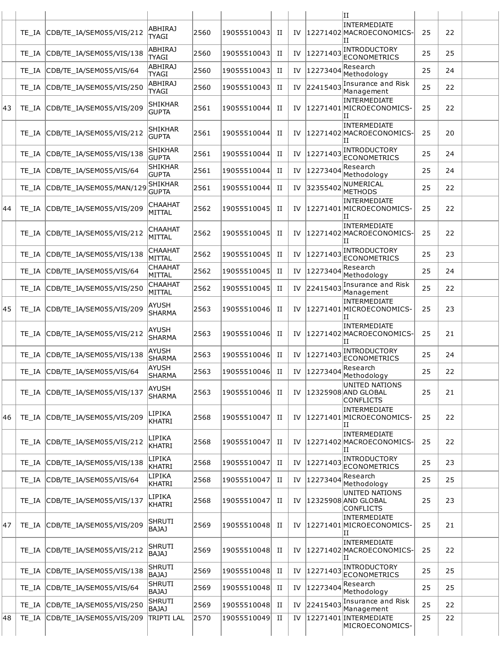|    |       |                               |                                |      |                |   |    |          | ΙI                                                         |    |    |  |
|----|-------|-------------------------------|--------------------------------|------|----------------|---|----|----------|------------------------------------------------------------|----|----|--|
|    | TE IA | CDB/TE_IA/SEM055/VIS/212      | <b>ABHIRAJ</b><br><b>TYAGI</b> | 2560 | 19055510043    | П | IV |          | INTERMEDIATE<br>12271402MACROECONOMICS-<br>ΙI              | 25 | 22 |  |
|    | TE IA | CDB/TE_IA/SEM055/VIS/138      | <b>ABHIRAJ</b><br>TYAGI        | 2560 | 19055510043    | П | IV | 12271403 | INTRODUCTORY<br><b>ECONOMETRICS</b>                        | 25 | 25 |  |
|    | TE IA | CDB/TE IA/SEM055/VIS/64       | <b>ABHIRAJ</b><br><b>TYAGI</b> | 2560 | 19055510043    | П | IV | 12273404 | Research<br>Methodology                                    | 25 | 24 |  |
|    | TE IA | CDB/TE_IA/SEM055/VIS/250      | <b>ABHIRAJ</b><br><b>TYAGI</b> | 2560 | 19055510043    | H | IV | 22415403 | Insurance and Risk<br>Management                           | 25 | 22 |  |
| 43 | TE IA | CDB/TE_IA/SEM055/VIS/209      | <b>SHIKHAR</b><br><b>GUPTA</b> | 2561 | 19055510044    | П | IV |          | INTERMEDIATE<br>12271401 MICROECONOMICS-<br>ΙH             | 25 | 22 |  |
|    | TE IA | CDB/TE_IA/SEM055/VIS/212      | <b>SHIKHAR</b><br><b>GUPTA</b> | 2561 | 19055510044    | П | IV |          | INTERMEDIATE<br>12271402 MACROECONOMICS-<br>IΙ             | 25 | 20 |  |
|    | TE IA | CDB/TE_IA/SEM055/VIS/138      | <b>SHIKHAR</b><br><b>GUPTA</b> | 2561 | 19055510044    | H | IV | 12271403 | INTRODUCTORY<br>ECONOMETRICS                               | 25 | 24 |  |
|    | TE IA | CDB/TE IA/SEM055/VIS/64       | <b>SHIKHAR</b><br><b>GUPTA</b> | 2561 | 19055510044    | H | IV | 12273404 | Research<br>Methodology                                    | 25 | 24 |  |
|    | TE IA | CDB/TE_IA/SEM055/MAN/129      | <b>SHIKHAR</b><br><b>GUPTA</b> | 2561 | 19055510044    | П | IV | 32355402 | NUMERICAL<br><b>METHODS</b>                                | 25 | 22 |  |
| 44 | TE IA | CDB/TE IA/SEM055/VIS/209      | <b>CHAAHAT</b><br>MITTAL       | 2562 | 19055510045    | H | IV |          | <b>INTERMEDIATE</b><br>12271401 MICROECONOMICS-<br>ΙI      | 25 | 22 |  |
|    | TE IA | CDB/TE_IA/SEM055/VIS/212      | CHAAHAT<br>MITTAL              | 2562 | 19055510045    | H | IV |          | INTERMEDIATE<br>12271402 MACROECONOMICS-<br>ΙH             | 25 | 22 |  |
|    | TE IA | CDB/TE_IA/SEM055/VIS/138      | <b>CHAAHAT</b><br>MITTAL       | 2562 | 19055510045    | П | IV | 12271403 | INTRODUCTORY<br><b>ECONOMETRICS</b>                        | 25 | 23 |  |
|    | TE IA | CDB/TE_IA/SEM055/VIS/64       | <b>CHAAHAT</b><br>MITTAL       | 2562 | 19055510045    | H | IV | 12273404 | Research<br>Methodology                                    | 25 | 24 |  |
|    | TE_IA | CDB/TE_IA/SEM055/VIS/250      | <b>CHAAHAT</b><br>MITTAL       | 2562 | 19055510045    | П | IV | 22415403 | Insurance and Risk<br>Management                           | 25 | 22 |  |
| 45 | TE IA | CDB/TE_IA/SEM055/VIS/209      | AYUSH<br><b>SHARMA</b>         | 2563 | 19055510046    | H | IV |          | <b>INTERMEDIATE</b><br>12271401 MICROECONOMICS-<br>ΙH      | 25 | 23 |  |
|    | TE IA | CDB/TE_IA/SEM055/VIS/212      | AYUSH<br><b>SHARMA</b>         | 2563 | 19055510046    | П | IV |          | INTERMEDIATE<br>12271402 MACROECONOMICS-<br>ΙI             | 25 | 21 |  |
|    | TE IA | CDB/TE IA/SEM055/VIS/138      | <b>AYUSH</b><br><b>SHARMA</b>  | 2563 | 19055510046    | П | IV | 12271403 | INTRODUCTORY<br><b>ECONOMETRICS</b>                        | 25 | 24 |  |
|    |       | TE IA CDB/TE IA/SEM055/VIS/64 | <b>AYUSH</b><br><b>SHARMA</b>  | 2563 | 19055510046 II |   | IV | 12273404 | Research<br>Methodology                                    | 25 | 22 |  |
|    | TE IA | CDB/TE IA/SEM055/VIS/137      | AYUSH<br><b>SHARMA</b>         | 2563 | 19055510046    | H | IV |          | UNITED NATIONS<br> 12325908 AND GLOBAL<br><b>CONFLICTS</b> | 25 | 21 |  |
| 46 | TE IA | CDB/TE_IA/SEM055/VIS/209      | LIPIKA<br><b>KHATRI</b>        | 2568 | 19055510047    | H | IV |          | INTERMEDIATE<br>12271401 MICROECONOMICS-<br>IΙ             | 25 | 22 |  |
|    | TE IA | CDB/TE_IA/SEM055/VIS/212      | LIPIKA<br><b>KHATRI</b>        | 2568 | 19055510047    | H | IV |          | INTERMEDIATE<br>12271402 MACROECONOMICS-<br>ΙI             | 25 | 22 |  |
|    | TE IA | CDB/TE_IA/SEM055/VIS/138      | LIPIKA<br><b>KHATRI</b>        | 2568 | 19055510047    | П | IV | 12271403 | <b>INTRODUCTORY</b><br><b>ECONOMETRICS</b>                 | 25 | 23 |  |
|    | TE IA | CDB/TE IA/SEM055/VIS/64       | LIPIKA<br><b>KHATRI</b>        | 2568 | 19055510047    | П | IV | 12273404 | Research<br>Methodology                                    | 25 | 25 |  |
|    | TE IA | CDB/TE_IA/SEM055/VIS/137      | LIPIKA<br><b>KHATRI</b>        | 2568 | 19055510047    | H | IV |          | UNITED NATIONS<br>12325908 AND GLOBAL<br><b>CONFLICTS</b>  | 25 | 23 |  |
| 47 | TE IA | CDB/TE_IA/SEM055/VIS/209      | SHRUTI<br><b>BAJAJ</b>         | 2569 | 19055510048    | H | IV |          | INTERMEDIATE<br>12271401 MICROECONOMICS-<br>IΙ             | 25 | 21 |  |
|    | TE IA | CDB/TE_IA/SEM055/VIS/212      | <b>SHRUTI</b><br><b>BAJAJ</b>  | 2569 | 19055510048    | H | IV |          | INTERMEDIATE<br>12271402 MACROECONOMICS-<br>IΙ             | 25 | 22 |  |
|    | TE IA | CDB/TE_IA/SEM055/VIS/138      | <b>SHRUTI</b><br><b>BAJAJ</b>  | 2569 | 19055510048    | П | IV | 12271403 | INTRODUCTORY<br>ECONOMETRICS                               | 25 | 25 |  |
|    | TE IA | CDB/TE_IA/SEM055/VIS/64       | <b>SHRUTI</b><br><b>BAJAJ</b>  | 2569 | 19055510048    | П | IV | 12273404 | Research<br>Methodology                                    | 25 | 25 |  |
|    | TE IA | CDB/TE_IA/SEM055/VIS/250      | <b>SHRUTI</b><br><b>BAJAJ</b>  | 2569 | 19055510048    | П | IV | 22415403 | Insurance and Risk<br>Management                           | 25 | 22 |  |
| 48 | TE_IA | CDB/TE_IA/SEM055/VIS/209      | <b>TRIPTI LAL</b>              | 2570 | 19055510049    | П | IV |          | 12271401 INTERMEDIATE<br>MICROECONOMICS-                   | 25 | 22 |  |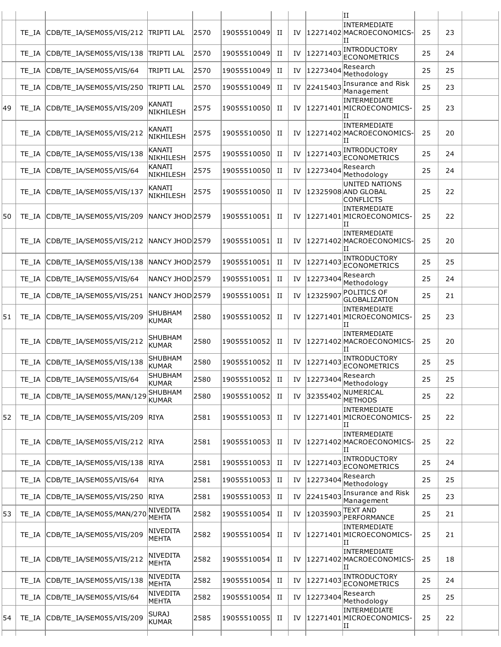|    |       |                                          |                                   |      |             |   |    |                                             | ΙI                                                        |    |    |  |
|----|-------|------------------------------------------|-----------------------------------|------|-------------|---|----|---------------------------------------------|-----------------------------------------------------------|----|----|--|
|    | TE IA | CDB/TE_IA/SEM055/VIS/212 TRIPTI LAL      |                                   | 2570 | 19055510049 | П | IV |                                             | INTERMEDIATE<br>12271402 MACROECONOMICS-<br>ΙI            | 25 | 23 |  |
|    | TE IA | CDB/TE IA/SEM055/VIS/138                 | <b>TRIPTI LAL</b>                 | 2570 | 19055510049 | П | IV | 12271403                                    | INTRODUCTORY<br><b>ECONOMETRICS</b>                       | 25 | 24 |  |
|    | TE IA | CDB/TE_IA/SEM055/VIS/64                  | <b>TRIPTI LAL</b>                 | 2570 | 19055510049 | П | IV | 12273404                                    | lResearch<br>Methodology                                  | 25 | 25 |  |
|    | TE IA | CDB/TE_IA/SEM055/VIS/250                 | <b>TRIPTI LAL</b>                 | 2570 | 19055510049 | П | IV | 22415403                                    | Insurance and Risk<br>Management                          | 25 | 23 |  |
| 49 | TE IA | CDB/TE_IA/SEM055/VIS/209                 | <b>KANATI</b><br>NIKHILESH        | 2575 | 19055510050 | п | IV |                                             | INTERMEDIATE<br>12271401 MICROECONOMICS-<br>ΙI            | 25 | 23 |  |
|    | TE IA | CDB/TE_IA/SEM055/VIS/212                 | KANATI<br><b>NIKHILESH</b>        | 2575 | 19055510050 | п | IV |                                             | INTERMEDIATE<br> 12271402 MACROECONOMICS-<br>ΙTΤ          | 25 | 20 |  |
|    | TE IA | CDB/TE_IA/SEM055/VIS/138                 | KANATI<br><b>NIKHILESH</b>        | 2575 | 19055510050 | П | IV | 12271403                                    | INTRODUCTORY<br><b>ECONOMETRICS</b>                       | 25 | 24 |  |
|    | TE IA | CDB/TE IA/SEM055/VIS/64                  | <b>KANATI</b><br>NIKHILESH        | 2575 | 19055510050 | П | IV | 12273404                                    | Research<br>Methodology                                   | 25 | 24 |  |
|    | TE IA | CDB/TE IA/SEM055/VIS/137                 | <b>KANATI</b><br><b>NIKHILESH</b> | 2575 | 19055510050 | п | IV |                                             | UNITED NATIONS<br>12325908 AND GLOBAL<br><b>CONFLICTS</b> | 25 | 22 |  |
| 50 | TE IA | CDB/TE_IA/SEM055/VIS/209                 | NANCY JHOD 2579                   |      | 19055510051 | и | IV |                                             | INTERMEDIATE<br>12271401 MICROECONOMICS-<br>ΙI            | 25 | 22 |  |
|    | TE IA | CDB/TE IA/SEM055/VIS/212 NANCY JHOD 2579 |                                   |      | 19055510051 | п | IV |                                             | INTERMEDIATE<br>12271402 MACROECONOMICS-<br>Н             | 25 | 20 |  |
|    | TE IA | CDB/TE_IA/SEM055/VIS/138 NANCY JHOD 2579 |                                   |      | 19055510051 | П | IV | 12271403                                    | INTRODUCTORY<br><b>ECONOMETRICS</b>                       | 25 | 25 |  |
|    | TE IA | CDB/TE_IA/SEM055/VIS/64                  | NANCY JHOD 2579                   |      | 19055510051 | П | IV | 12273404                                    | Research<br>Methodology                                   | 25 | 24 |  |
|    | TE IA | CDB/TE_IA/SEM055/VIS/251                 | NANCY JHOD 2579                   |      | 19055510051 | П | IV | 1232590                                     | <b>POLITICS OF</b><br><b>GLOBALIZATION</b>                | 25 | 21 |  |
| 51 | TE IA | CDB/TE_IA/SEM055/VIS/209                 | <b>SHUBHAM</b><br><b>KUMAR</b>    | 2580 | 19055510052 | п | IV |                                             | INTERMEDIATE<br>12271401 MICROECONOMICS-<br>ΙI            | 25 | 23 |  |
|    | TE IA | CDB/TE_IA/SEM055/VIS/212                 | <b>SHUBHAM</b><br>KUMAR           | 2580 | 19055510052 | П | IV |                                             | <b>INTERMEDIATE</b><br>12271402 MACROECONOMICS-<br>и      | 25 | 20 |  |
|    | TE IA | CDB/TE IA/SEM055/VIS/138                 | <b>SHUBHAM</b><br><b>KUMAR</b>    | 2580 | 19055510052 | П |    | IV  12271403                                | INTRODUCTORY<br><b>ECONOMETRICS</b>                       | 25 | 25 |  |
|    | TE IA | CDB/TE_IA/SEM055/VIS/64                  | <b>SHUBHAM</b><br>KUMAR           | 2580 | 19055510052 | П | IV | $\left  \frac{12273404}{R}\right $ Research | Methodology                                               | 25 | 25 |  |
|    | TE IA | CDB/TE_IA/SEM055/MAN/129                 | SHUBHAM<br><b>KUMAR</b>           | 2580 | 19055510052 | H | IV | 32355402                                    | NUMERICAL<br><b>METHODS</b>                               | 25 | 22 |  |
| 52 | TE IA | CDB/TE_IA/SEM055/VIS/209                 | <b>RIYA</b>                       | 2581 | 19055510053 | п | IV |                                             | INTERMEDIATE<br>12271401 MICROECONOMICS-<br>ΙI            | 25 | 22 |  |
|    | TE IA | CDB/TE_IA/SEM055/VIS/212 RIYA            |                                   | 2581 | 19055510053 | П | IV |                                             | INTERMEDIATE<br>12271402 MACROECONOMICS-<br>ΙI            | 25 | 22 |  |
|    | TE IA | CDB/TE_IA/SEM055/VIS/138                 | <b>RIYA</b>                       | 2581 | 19055510053 | П | IV | 12271403                                    | INTRODUCTORY<br><b>ECONOMETRICS</b>                       | 25 | 24 |  |
|    | TE IA | CDB/TE IA/SEM055/VIS/64                  | <b>RIYA</b>                       | 2581 | 19055510053 | П | IV | 12273404                                    | Research<br>Methodology                                   | 25 | 25 |  |
|    | TE IA | CDB/TE_IA/SEM055/VIS/250                 | <b>RIYA</b>                       | 2581 | 19055510053 | П | IV | 22415403                                    | Insurance and Risk<br>Management                          | 25 | 23 |  |
| 53 | TE IA | CDB/TE_IA/SEM055/MAN/270                 | NIVEDITA<br><b>MEHTA</b>          | 2582 | 19055510054 | H | IV | 12035903                                    | <b>TEXT AND</b><br>PERFORMANCE                            | 25 | 21 |  |
|    | TE IA | CDB/TE_IA/SEM055/VIS/209                 | NIVEDITA<br>MEHTA                 | 2582 | 19055510054 | п | IV |                                             | INTERMEDIATE<br>12271401 MICROECONOMICS-<br>ΙI            | 25 | 21 |  |
|    | TE IA | CDB/TE_IA/SEM055/VIS/212                 | NIVEDITA<br><b>MEHTA</b>          | 2582 | 19055510054 | п | IV |                                             | INTERMEDIATE<br>12271402 MACROECONOMICS-<br>ΙI            | 25 | 18 |  |
|    | TE IA | CDB/TE_IA/SEM055/VIS/138                 | <b>NIVEDITA</b><br>MEHTA          | 2582 | 19055510054 | П | IV | 12271403                                    | INTRODUCTORY<br><b>ECONOMETRICS</b>                       | 25 | 24 |  |
|    | TE IA | CDB/TE_IA/SEM055/VIS/64                  | <b>NIVEDITA</b><br>MEHTA          | 2582 | 19055510054 | H | IV | 12273404                                    | Research<br>Methodology                                   | 25 | 25 |  |
| 54 |       | TE_IA CDB/TE_IA/SEM055/VIS/209           | <b>SURAJ</b><br>KUMAR             | 2585 | 19055510055 | и |    |                                             | INTERMEDIATE<br>IV  12271401 MICROECONOMICS-<br>ΙI        | 25 | 22 |  |
|    |       |                                          |                                   |      |             |   |    |                                             |                                                           |    |    |  |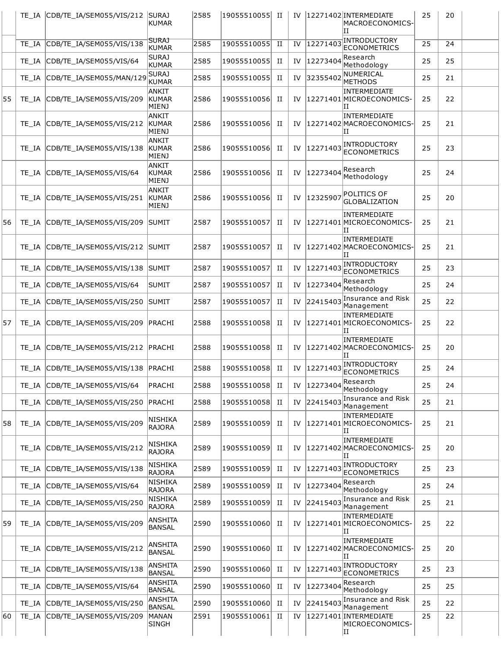|    |       | TE_IA CDB/TE_IA/SEM055/VIS/212        | <b>SURAJ</b><br><b>KUMAR</b>          | 2585 | 19055510055 II |   |    |          | IV  12271402 INTERMEDIATE<br>MACROECONOMICS-<br>ΙT    | 25 | 20 |  |
|----|-------|---------------------------------------|---------------------------------------|------|----------------|---|----|----------|-------------------------------------------------------|----|----|--|
|    | TE IA | CDB/TE_IA/SEM055/VIS/138              | <b>SURAJ</b><br>KUMAR                 | 2585 | 19055510055    | П | IV | 12271403 | <b>INTRODUCTORY</b><br><b>ECONOMETRICS</b>            | 25 | 24 |  |
|    | TE IA | CDB/TE_IA/SEM055/VIS/64               | <b>SURAJ</b><br>KUMAR                 | 2585 | 19055510055    | H | IV | 12273404 | Research<br>Methodology                               | 25 | 25 |  |
|    |       | TE_IA CDB/TE_IA/SEM055/MAN/129        | <b>SURAJ</b><br>KUMAR                 | 2585 | 19055510055    | П | IV | 32355402 | NUMERICAL<br><b>METHODS</b>                           | 25 | 21 |  |
| 55 | TE IA | CDB/TE IA/SEM055/VIS/209              | <b>ANKIT</b><br>KUMAR<br>MIENJ        | 2586 | 19055510056    | H | IV |          | INTERMEDIATE<br>12271401 MICROECONOMICS-<br>и         | 25 | 22 |  |
|    | TE IA | CDB/TE_IA/SEM055/VIS/212              | ANKIT<br>KUMAR<br><b>MIENJ</b>        | 2586 | 19055510056    | П | IV |          | <b>INTERMEDIATE</b><br>12271402 MACROECONOMICS-<br>IΙ | 25 | 21 |  |
|    | TE IA | CDB/TE_IA/SEM055/VIS/138              | <b>ANKIT</b><br>KUMAR<br><b>MIENJ</b> | 2586 | 19055510056    | П | IV | 12271403 | INTRODUCTORY<br><b>ECONOMETRICS</b>                   | 25 | 23 |  |
|    |       | TE_IA CDB/TE_IA/SEM055/VIS/64         | ANKIT<br><b>KUMAR</b><br><b>MIENJ</b> | 2586 | 19055510056    | H | IV | 12273404 | Research<br>Methodology                               | 25 | 24 |  |
|    |       | TE_IA CDB/TE_IA/SEM055/VIS/251        | ANKIT<br>KUMAR<br><b>MIENJ</b>        | 2586 | 19055510056    | П | IV | 12325907 | <b>POLITICS OF</b><br><b>GLOBALIZATION</b>            | 25 | 20 |  |
| 56 |       | TE_IA CDB/TE_IA/SEM055/VIS/209        | <b>SUMIT</b>                          | 2587 | 19055510057    | П | IV |          | INTERMEDIATE<br>12271401 MICROECONOMICS-<br>и         | 25 | 21 |  |
|    |       | TE IA CDB/TE IA/SEM055/VIS/212 SUMIT  |                                       | 2587 | 19055510057    | п | IV |          | INTERMEDIATE<br>12271402 MACROECONOMICS-<br>ΙI        | 25 | 21 |  |
|    |       | TE_IA CDB/TE_IA/SEM055/VIS/138 SUMIT  |                                       | 2587 | 19055510057    | П | IV | 12271403 | <b>INTRODUCTORY</b><br><b>ECONOMETRICS</b>            | 25 | 23 |  |
|    | TE IA | CDB/TE_IA/SEM055/VIS/64               | <b>SUMIT</b>                          | 2587 | 19055510057    | п | IV | 12273404 | Research<br>Methodology                               | 25 | 24 |  |
|    | TE IA | CDB/TE_IA/SEM055/VIS/250              | <b>SUMIT</b>                          | 2587 | 19055510057    | H | IV | 22415403 | Insurance and Risk<br>Management                      | 25 | 22 |  |
| 57 |       | TE_IA CDB/TE_IA/SEM055/VIS/209        | PRACHI                                | 2588 | 19055510058    | П | IV |          | INTERMEDIATE<br>12271401 MICROECONOMICS-<br>IΙ        | 25 | 22 |  |
|    |       | TE_IA CDB/TE_IA/SEM055/VIS/212 PRACHI |                                       | 2588 | 19055510058    | П | IV |          | INTERMEDIATE<br>12271402 MACROECONOMICS-<br>TΤ        | 25 | 20 |  |
|    |       | TE IA CDB/TE IA/SEM055/VIS/138 PRACHI |                                       | 2588 | 19055510058    | П | IV | 12271403 | <b>INTRODUCTORY</b><br>ECONOMETRICS                   | 25 | 24 |  |
|    | TE IA | CDB/TE_IA/SEM055/VIS/64               | PRACHI                                | 2588 | 19055510058    | H | IV | 12273404 | Research<br>Methodoloav                               | 25 | 24 |  |
|    | TE IA | CDB/TE IA/SEM055/VIS/250              | PRACHI                                | 2588 | 19055510058    | П | IV | 22415403 | Insurance and Risk<br>Management                      | 25 | 21 |  |
| 58 | TE IA | CDB/TE_IA/SEM055/VIS/209              | NISHIKA<br><b>RAJORA</b>              | 2589 | 19055510059    | H | IV |          | INTERMEDIATE<br>12271401 MICROECONOMICS-<br>и         | 25 | 21 |  |
|    | TE IA | CDB/TE_IA/SEM055/VIS/212              | NISHIKA<br><b>RAJORA</b>              | 2589 | 19055510059    | H | IV |          | INTERMEDIATE<br>12271402 MACROECONOMICS-<br>ΙI        | 25 | 20 |  |
|    | TE IA | CDB/TE_IA/SEM055/VIS/138              | <b>NISHIKA</b><br><b>RAJORA</b>       | 2589 | 19055510059    | H | IV | 12271403 | <b>INTRODUCTORY</b><br><b>ECONOMETRICS</b>            | 25 | 23 |  |
|    | TE IA | CDB/TE_IA/SEM055/VIS/64               | NISHIKA<br><b>RAJORA</b>              | 2589 | 19055510059    | П | IV | 12273404 | Research<br>Methodology                               | 25 | 24 |  |
|    | TE IA | CDB/TE_IA/SEM055/VIS/250              | NISHIKA<br><b>RAJORA</b>              | 2589 | 19055510059    | П | IV | 22415403 | Insurance and Risk<br>Management                      | 25 | 21 |  |
| 59 |       | TE_IA CDB/TE_IA/SEM055/VIS/209        | ANSHITA<br><b>BANSAL</b>              | 2590 | 19055510060    | П | IV |          | <b>INTERMEDIATE</b><br>12271401 MICROECONOMICS-<br>и  | 25 | 22 |  |
|    |       | TE_IA CDB/TE_IA/SEM055/VIS/212        | ANSHITA<br><b>BANSAL</b>              | 2590 | 19055510060    | П | IV |          | INTERMEDIATE<br>12271402 MACROECONOMICS-<br>и         | 25 | 20 |  |
|    | TE IA | CDB/TE_IA/SEM055/VIS/138              | ANSHITA<br><b>BANSAL</b>              | 2590 | 19055510060    | П | IV | 12271403 | <b>INTRODUCTORY</b><br><b>ECONOMETRICS</b>            | 25 | 23 |  |
|    | TE IA | CDB/TE_IA/SEM055/VIS/64               | ANSHITA<br><b>BANSAL</b>              | 2590 | 19055510060    | H | IV | 12273404 | Research<br>Methodology                               | 25 | 25 |  |
|    | TE IA | CDB/TE_IA/SEM055/VIS/250              | ANSHITA<br><b>BANSAL</b>              | 2590 | 19055510060    | H | IV | 22415403 | Insurance and Risk<br>Management                      | 25 | 22 |  |
| 60 | TE_IA | CDB/TE_IA/SEM055/VIS/209              | MANAN<br><b>SINGH</b>                 | 2591 | 19055510061    | п | IV |          | 12271401 INTERMEDIATE<br>MICROECONOMICS-<br>ΙI        | 25 | 22 |  |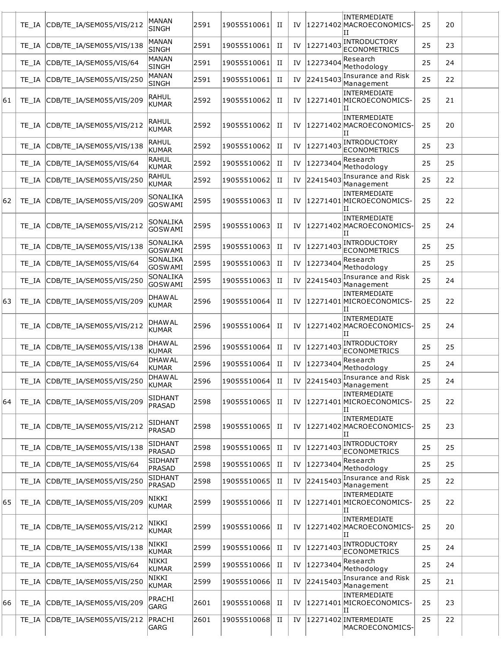|    | TE IA | CDB/TE_IA/SEM055/VIS/212       | MANAN<br><b>SINGH</b>         | 2591 | 19055510061 | П | IV |          | INTERMEDIATE<br>12271402 MACROECONOMICS-<br>П    | 25 | 20 |  |
|----|-------|--------------------------------|-------------------------------|------|-------------|---|----|----------|--------------------------------------------------|----|----|--|
|    |       | TE_IA CDB/TE_IA/SEM055/VIS/138 | MANAN<br><b>SINGH</b>         | 2591 | 19055510061 | и | IV | 12271403 | INTRODUCTORY<br><b>ECONOMETRICS</b>              | 25 | 23 |  |
|    | TE IA | CDB/TE_IA/SEM055/VIS/64        | MANAN<br><b>SINGH</b>         | 2591 | 19055510061 | п | IV | 12273404 | Research<br>Methodology                          | 25 | 24 |  |
|    | TE IA | CDB/TE_IA/SEM055/VIS/250       | MANAN<br><b>SINGH</b>         | 2591 | 19055510061 | П | IV | 22415403 | Insurance and Risk<br>Management                 | 25 | 22 |  |
| 61 |       | TE_IA CDB/TE_IA/SEM055/VIS/209 | RAHUL<br>KUMAR                | 2592 | 19055510062 | П | IV |          | INTERMEDIATE<br>12271401 MICROECONOMICS-<br>и    | 25 | 21 |  |
|    | TE IA | CDB/TE_IA/SEM055/VIS/212       | RAHUL<br>KUMAR                | 2592 | 19055510062 | П | IV |          | INTERMEDIATE<br>12271402 MACROECONOMICS-<br>и    | 25 | 20 |  |
|    | TE IA | CDB/TE_IA/SEM055/VIS/138       | RAHUL<br>KUMAR                | 2592 | 19055510062 | п | IV | 12271403 | INTRODUCTORY<br><b>ECONOMETRICS</b>              | 25 | 23 |  |
|    |       | TE_IA CDB/TE_IA/SEM055/VIS/64  | RAHUL<br>KUMAR                | 2592 | 19055510062 | П | IV | 12273404 | Research<br>Methodology                          | 25 | 25 |  |
|    | TE IA | CDB/TE_IA/SEM055/VIS/250       | RAHUL<br>KUMAR                | 2592 | 19055510062 | п | IV | 22415403 | Insurance and Risk<br>Management                 | 25 | 22 |  |
| 62 | TE IA | CDB/TE_IA/SEM055/VIS/209       | SONALIKA<br><b>GOSWAMI</b>    | 2595 | 19055510063 | п | IV |          | INTERMEDIATE<br>12271401 MICROECONOMICS-<br>IΙ   | 25 | 22 |  |
|    |       | TE_IA CDB/TE_IA/SEM055/VIS/212 | SONALIKA<br><b>GOSWAMI</b>    | 2595 | 19055510063 | п | IV |          | INTERMEDIATE<br>12271402 MACROECONOMICS-<br>и    | 25 | 24 |  |
|    | TE IA | CDB/TE_IA/SEM055/VIS/138       | SONALIKA<br><b>GOSWAMI</b>    | 2595 | 19055510063 | П | IV | 12271403 | <b>INTRODUCTORY</b><br><b>ECONOMETRICS</b>       | 25 | 25 |  |
|    | TE IA | CDB/TE_IA/SEM055/VIS/64        | SONALIKA<br>GOSWAMI           | 2595 | 19055510063 | П | IV | 12273404 | Research<br>Methodology                          | 25 | 25 |  |
|    |       | TE_IA CDB/TE_IA/SEM055/VIS/250 | SONALIKA<br><b>GOSWAMI</b>    | 2595 | 19055510063 | H | IV | 22415403 | Insurance and Risk<br>Management                 | 25 | 24 |  |
| 63 |       | TE_IA CDB/TE_IA/SEM055/VIS/209 | <b>DHAWAL</b><br>KUMAR        | 2596 | 19055510064 | п | IV |          | INTERMEDIATE<br>12271401 MICROECONOMICS-<br>ΙT   | 25 | 22 |  |
|    | TE IA | CDB/TE_IA/SEM055/VIS/212       | <b>DHAWAL</b><br>KUMAR        | 2596 | 19055510064 | п | IV |          | INTERMEDIATE<br>12271402 MACROECONOMICS-<br>и    | 25 | 24 |  |
|    | TE IA | CDB/TE_IA/SEM055/VIS/138       | <b>DHAWAL</b><br>KUMAR        | 2596 | 19055510064 | п | IV | 12271403 | INTRODUCTORY<br><b>ECONOMETRICS</b>              | 25 | 25 |  |
|    | TE IA | CDB/TE_IA/SEM055/VIS/64        | <b>DHAWAL</b><br><b>KUMAR</b> | 2596 | 19055510064 | П | IV | 12273404 | Research<br>Methodology                          | 25 | 24 |  |
|    | TE IA | CDB/TE IA/SEM055/VIS/250       | <b>DHAWAL</b><br>KUMAR        | 2596 | 19055510064 | П |    |          | IV $ 22415403 $ Insurance and Risk<br>Management | 25 | 24 |  |
| 64 |       | TE_IA CDB/TE_IA/SEM055/VIS/209 | SIDHANT<br>PRASAD             | 2598 | 19055510065 | H | IV |          | INTERMEDIATE<br>12271401 MICROECONOMICS-<br>IΙ   | 25 | 22 |  |
|    |       | TE_IA CDB/TE_IA/SEM055/VIS/212 | SIDHANT<br>PRASAD             | 2598 | 19055510065 | H | IV |          | INTERMEDIATE<br>12271402 MACROECONOMICS-<br>и    | 25 | 23 |  |
|    |       | TE_IA CDB/TE_IA/SEM055/VIS/138 | <b>SIDHANT</b><br>PRASAD      | 2598 | 19055510065 | H | IV | 12271403 | <b>INTRODUCTORY</b><br><b>ECONOMETRICS</b>       | 25 | 25 |  |
|    | TE IA | CDB/TE_IA/SEM055/VIS/64        | SIDHANT<br>PRASAD             | 2598 | 19055510065 | П | IV | 12273404 | Research<br>Methodology                          | 25 | 25 |  |
|    |       | TE_IA CDB/TE_IA/SEM055/VIS/250 | <b>SIDHANT</b><br>PRASAD      | 2598 | 19055510065 | H | IV | 22415403 | Insurance and Risk<br>Management                 | 25 | 22 |  |
| 65 |       | TE_IA CDB/TE_IA/SEM055/VIS/209 | NIKKI<br>KUMAR                | 2599 | 19055510066 | H | IV |          | INTERMEDIATE<br>12271401 MICROECONOMICS-<br>ΙI   | 25 | 22 |  |
|    | TE IA | CDB/TE_IA/SEM055/VIS/212       | NIKKI<br>KUMAR                | 2599 | 19055510066 | H | IV |          | INTERMEDIATE<br>12271402 MACROECONOMICS-<br>и    | 25 | 20 |  |
|    | TE IA | CDB/TE_IA/SEM055/VIS/138       | NIKKI<br>KUMAR                | 2599 | 19055510066 | H | IV | 12271403 | <b>INTRODUCTORY</b><br><b>ECONOMETRICS</b>       | 25 | 24 |  |
|    | TE IA | CDB/TE_IA/SEM055/VIS/64        | NIKKI<br>KUMAR                | 2599 | 19055510066 | H | IV | 12273404 | Research<br>Methodology                          | 25 | 24 |  |
|    | TE IA | CDB/TE_IA/SEM055/VIS/250       | NIKKI<br>KUMAR                | 2599 | 19055510066 | П | IV | 22415403 | Insurance and Risk<br>Management                 | 25 | 21 |  |
| 66 |       | TE_IA CDB/TE_IA/SEM055/VIS/209 | PRACHI<br>GARG                | 2601 | 19055510068 | H | IV |          | INTERMEDIATE<br>12271401 MICROECONOMICS-<br>IΙ   | 25 | 23 |  |
|    | TE IA | CDB/TE_IA/SEM055/VIS/212       | PRACHI<br>GARG                | 2601 | 19055510068 | П | IV |          | 12271402 INTERMEDIATE<br>MACROECONOMICS-         | 25 | 22 |  |